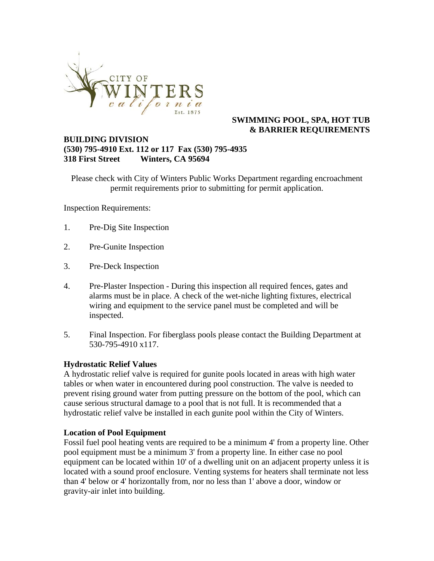

#### **SWIMMING POOL, SPA, HOT TUB & BARRIER REQUIREMENTS**

#### **BUILDING DIVISION (530) 795-4910 Ext. 112 or 117 Fax (530) 795-4935 318 First Street Winters, CA 95694**

Please check with City of Winters Public Works Department regarding encroachment permit requirements prior to submitting for permit application.

Inspection Requirements:

- 1. Pre-Dig Site Inspection
- 2. Pre-Gunite Inspection
- 3. Pre-Deck Inspection
- 4. Pre-Plaster Inspection During this inspection all required fences, gates and alarms must be in place. A check of the wet-niche lighting fixtures, electrical wiring and equipment to the service panel must be completed and will be inspected.
- 5. Final Inspection. For fiberglass pools please contact the Building Department at 530-795-4910 x117.

#### **Hydrostatic Relief Values**

A hydrostatic relief valve is required for gunite pools located in areas with high water tables or when water in encountered during pool construction. The valve is needed to prevent rising ground water from putting pressure on the bottom of the pool, which can cause serious structural damage to a pool that is not full. It is recommended that a hydrostatic relief valve be installed in each gunite pool within the City of Winters.

#### **Location of Pool Equipment**

Fossil fuel pool heating vents are required to be a minimum 4' from a property line. Other pool equipment must be a minimum 3' from a property line. In either case no pool equipment can be located within 10' of a dwelling unit on an adjacent property unless it is located with a sound proof enclosure. Venting systems for heaters shall terminate not less than 4' below or 4' horizontally from, nor no less than 1' above a door, window or gravity-air inlet into building.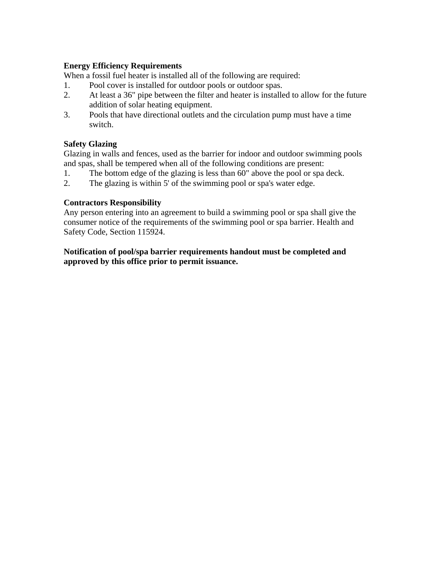#### **Energy Efficiency Requirements**

When a fossil fuel heater is installed all of the following are required:

- 1. Pool cover is installed for outdoor pools or outdoor spas.
- 2. At least a 36" pipe between the filter and heater is installed to allow for the future addition of solar heating equipment.
- 3. Pools that have directional outlets and the circulation pump must have a time switch.

### **Safety Glazing**

Glazing in walls and fences, used as the barrier for indoor and outdoor swimming pools and spas, shall be tempered when all of the following conditions are present:

- 1. The bottom edge of the glazing is less than 60" above the pool or spa deck.
- 2. The glazing is within 5' of the swimming pool or spa's water edge.

#### **Contractors Responsibility**

Any person entering into an agreement to build a swimming pool or spa shall give the consumer notice of the requirements of the swimming pool or spa barrier. Health and Safety Code, Section 115924.

**Notification of pool/spa barrier requirements handout must be completed and approved by this office prior to permit issuance.**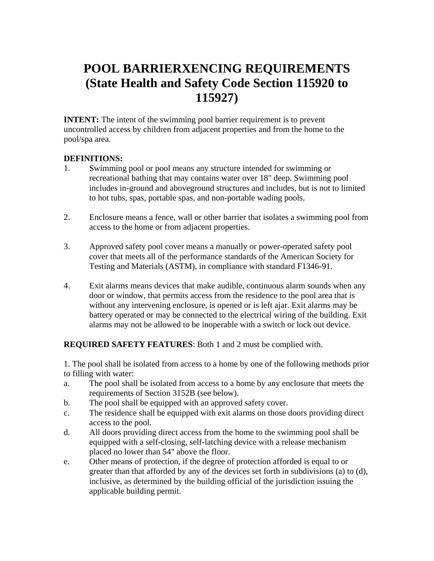# **POOL BARRIERXENCING REQUIREMENTS (State Health and Safety Code Section 115920 to 115927)**

**INTENT:** The intent of the swimming pool barrier requirement is to prevent uncontrolled access by children from adjacent properties and from the home to the pool/spa area.

#### **DEFINITIONS:**

- 1. Swimming pool or pool means any structure intended for swimming or recreational bathing that may contains water over 18" deep. Swimming pool includes in-ground and aboveground structures and includes, but is not to limited to hot tubs, spas, portable spas, and non-portable wading pools.
- 2. Enclosure means a fence, wall or other barrier that isolates a swimming pool from access to the home or from adjacent properties.
- 3. Approved safety pool cover means a manually or power-operated safety pool cover that meets all of the performance standards of the American Society for Testing and Materials (ASTM), in compliance with standard F1346-91.
- 4. Exit alarms means devices that make audible, continuous alarm sounds when any door or window, that permits access from the residence to the pool area that is without any intervening enclosure, is opened or is left ajar. Exit alarms may be battery operated or may be connected to the electrical wiring of the building. Exit alarms may not be allowed to be inoperable with a switch or lock out device.

**REQUIRED SAFETY FEATURES**: Both 1 and 2 must be complied with.

1. The pool shall be isolated from access to a home by one of the following methods prior to filling with water:

- a. The pool shall be isolated from access to a home by any enclosure that meets the requirements of Section 3152B (see below).
- b. The pool shall be equipped with an approved safety cover.
- c. The residence shall be equipped with exit alarms on those doors providing direct access to the pool.
- d. All doors providing direct access from the home to the swimming pool shall be equipped with a self-closing, self-latching device with a release mechanism placed no lower than 54" above the floor.
- e. Other means of protection, if the degree of protection afforded is equal to or greater than that afforded by any of the devices set forth in subdivisions (a) to (d), inclusive, as determined by the building official of the jurisdiction issuing the applicable building permit.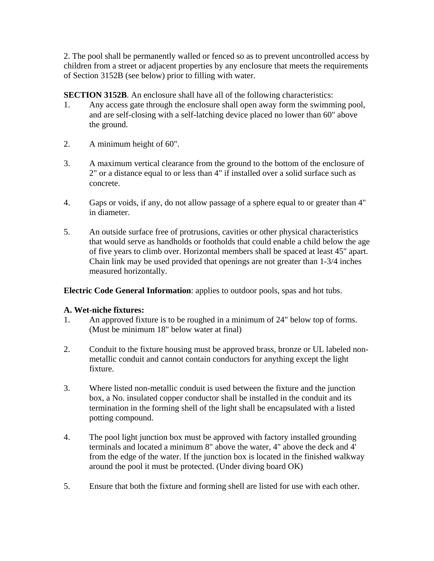2. The pool shall be permanently walled or fenced so as to prevent uncontrolled access by children from a street or adjacent properties by any enclosure that meets the requirements of Section 3152B (see below) prior to filling with water.

**SECTION 3152B.** An enclosure shall have all of the following characteristics:

- 1. Any access gate through the enclosure shall open away form the swimming pool, and are self-closing with a self-latching device placed no lower than 60" above the ground.
- 2. A minimum height of 60".
- 3. A maximum vertical clearance from the ground to the bottom of the enclosure of 2" or a distance equal to or less than 4" if installed over a solid surface such as concrete.
- 4. Gaps or voids, if any, do not allow passage of a sphere equal to or greater than 4" in diameter.
- 5. An outside surface free of protrusions, cavities or other physical characteristics that would serve as handholds or footholds that could enable a child below the age of five years to climb over. Horizontal members shall be spaced at least 45" apart. Chain link may be used provided that openings are not greater than 1-3/4 inches measured horizontally.

**Electric Code General Information**: applies to outdoor pools, spas and hot tubs.

### **A. Wet-niche fixtures:**

- 1. An approved fixture is to be roughed in a minimum of 24" below top of forms. (Must be minimum 18" below water at final)
- 2. Conduit to the fixture housing must be approved brass, bronze or UL labeled nonmetallic conduit and cannot contain conductors for anything except the light fixture.
- 3. Where listed non-metallic conduit is used between the fixture and the junction box, a No. insulated copper conductor shall be installed in the conduit and its termination in the forming shell of the light shall be encapsulated with a listed potting compound.
- 4. The pool light junction box must be approved with factory installed grounding terminals and located a minimum 8" above the water, 4" above the deck and 4' from the edge of the water. If the junction box is located in the finished walkway around the pool it must be protected. (Under diving board OK)
- 5. Ensure that both the fixture and forming shell are listed for use with each other.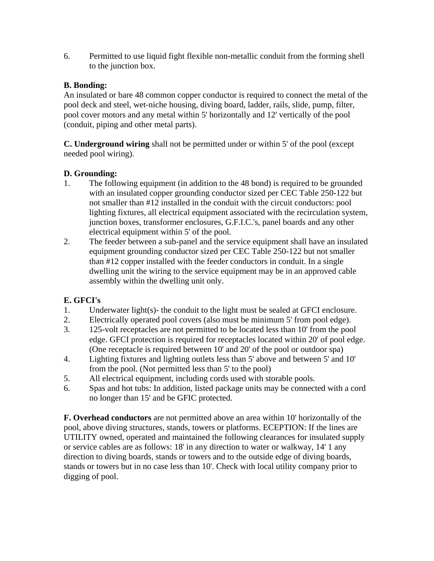6. Permitted to use liquid fight flexible non-metallic conduit from the forming shell to the junction box.

## **B. Bonding:**

An insulated or bare 48 common copper conductor is required to connect the metal of the pool deck and steel, wet-niche housing, diving board, ladder, rails, slide, pump, filter, pool cover motors and any metal within 5' horizontally and 12' vertically of the pool (conduit, piping and other metal parts).

**C. Underground wiring** shall not be permitted under or within 5' of the pool (except needed pool wiring).

## **D. Grounding:**

- 1. The following equipment (in addition to the 48 bond) is required to be grounded with an insulated copper grounding conductor sized per CEC Table 250-122 but not smaller than #12 installed in the conduit with the circuit conductors: pool lighting fixtures, all electrical equipment associated with the recirculation system, junction boxes, transformer enclosures, G.F.I.C.'s, panel boards and any other electrical equipment within 5' of the pool.
- 2. The feeder between a sub-panel and the service equipment shall have an insulated equipment grounding conductor sized per CEC Table 250-122 but not smaller than #12 copper installed with the feeder conductors in conduit. In a single dwelling unit the wiring to the service equipment may be in an approved cable assembly within the dwelling unit only.

## **E. GFCI's**

- 1. Underwater light(s)- the conduit to the light must be sealed at GFCI enclosure.
- 2. Electrically operated pool covers (also must be minimum 5' from pool edge).
- 3. 125-volt receptacles are not permitted to be located less than 10' from the pool edge. GFCI protection is required for receptacles located within 20' of pool edge. (One receptacle is required between 10' and 20' of the pool or outdoor spa)
- 4. Lighting fixtures and lighting outlets less than 5' above and between 5' and 10' from the pool. (Not permitted less than 5' to the pool)
- 5. All electrical equipment, including cords used with storable pools.
- 6. Spas and hot tubs: In addition, listed package units may be connected with a cord no longer than 15' and be GFIC protected.

**F. Overhead conductors** are not permitted above an area within 10' horizontally of the pool, above diving structures, stands, towers or platforms. ECEPTION: If the lines are UTILITY owned, operated and maintained the following clearances for insulated supply or service cables are as follows: 18' in any direction to water or walkway, 14' 1 any direction to diving boards, stands or towers and to the outside edge of diving boards, stands or towers but in no case less than 10'. Check with local utility company prior to digging of pool.